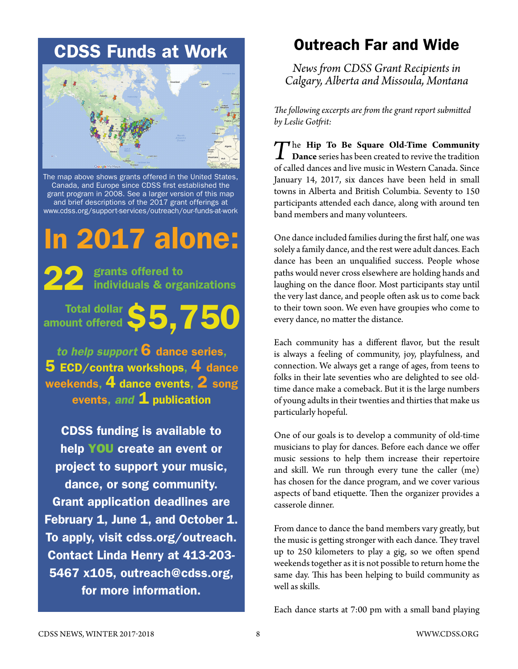## CDSS Funds at Work



The map above shows grants offered in the United States, Canada, and Europe since CDSS first established the grant program in 2008. See a larger version of this map and brief descriptions of the 2017 grant offerings at www.cdss.org/support-services/outreach/our-funds-at-work

# In 2017 alone:

22 grants offered to<br>individuals & organizations

Total dollar  $$5,750$ amount offered

*to help support* 6 dance series,  $\bf 5$  ECD/contra workshops,  $\bf 4$  dance weekends, 4 dance events, 2 song events, *and* **1** publication

CDSS funding is available to help YOU create an event or project to support your music, dance, or song community. Grant application deadlines are February 1, June 1, and October 1. To apply, visit [cdss.org/outreach.](http://www.cdss.org/outreach) Contact Linda Henry at 413-203- 5467 x105, outreach@cdss.org, for more information.

## Outreach Far and Wide

*News from CDSS Grant Recipients in Calgary, Alberta and Missoula, Montana* 

*The following excerpts are from the grant report submitted by Leslie Gotfrit:* 

*T*he **Hip To Be Square Old-Time Community Dance** series has been created to revive the tradition of called dances and live music in Western Canada. Since January 14, 2017, six dances have been held in small towns in Alberta and British Columbia. Seventy to 150 participants attended each dance, along with around ten band members and many volunteers.

One dance included families during the first half, one was solely a family dance, and the rest were adult dances. Each dance has been an unqualified success. People whose paths would never cross elsewhere are holding hands and laughing on the dance floor. Most participants stay until the very last dance, and people often ask us to come back to their town soon. We even have groupies who come to every dance, no matter the distance.

Each community has a different flavor, but the result is always a feeling of community, joy, playfulness, and connection. We always get a range of ages, from teens to folks in their late seventies who are delighted to see oldtime dance make a comeback. But it is the large numbers of young adults in their twenties and thirties that make us particularly hopeful.

One of our goals is to develop a community of old-time musicians to play for dances. Before each dance we offer music sessions to help them increase their repertoire and skill. We run through every tune the caller (me) has chosen for the dance program, and we cover various aspects of band etiquette. Then the organizer provides a casserole dinner.

From dance to dance the band members vary greatly, but the music is getting stronger with each dance. They travel up to 250 kilometers to play a gig, so we often spend weekends together as it is not possible to return home the same day. This has been helping to build community as well as skills.

Each dance starts at 7:00 pm with a small band playing